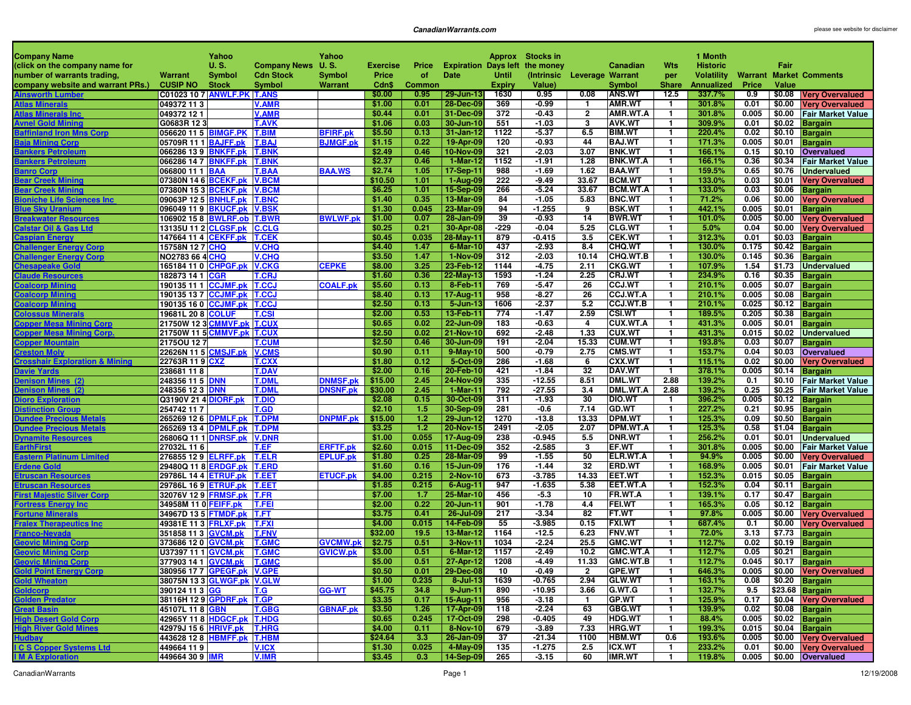| <b>Company Name</b>                                        |                                              | Yahoo                      |                              | Yahoo           |                   |               |                        |              | Approx Stocks in                      |                         |                                  |                              | 1 Month           |               |                  |                                            |
|------------------------------------------------------------|----------------------------------------------|----------------------------|------------------------------|-----------------|-------------------|---------------|------------------------|--------------|---------------------------------------|-------------------------|----------------------------------|------------------------------|-------------------|---------------|------------------|--------------------------------------------|
| (click on the company name for                             |                                              | U. S.                      | <b>Company News</b>          | <b>U.S.</b>     | <b>Exercise</b>   | Price         |                        |              | <b>Expiration Days left the money</b> |                         | Canadian                         | <b>Wts</b>                   | <b>Historic</b>   |               | Fair             |                                            |
| number of warrants trading,                                | Warrant                                      | <b>Symbol</b>              | <b>Cdn Stock</b>             | Symbol          | Price             | of            | Date                   | <b>Until</b> | (Intrinsic Leverage Warrant           |                         |                                  | per                          | <b>Volatility</b> |               |                  | <b>Warrant Market Comments</b>             |
| company website and warrant PRs.)                          | <b>CUSIP NO</b>                              | <b>Stock</b>               | <b>Symbol</b>                | <b>Warrant</b>  | Cdn\$             | <b>Common</b> |                        | Expiry       | Value)                                |                         | Symbol                           | <b>Share</b>                 | <b>Annualized</b> | Price         | Value            |                                            |
| <b>Ainsworth Lumber</b>                                    | <b>C01023 10 7 ANWLF.PK T.ANS</b>            |                            |                              |                 | \$0.00            | 0.95          | 29-Jun-13              | 1630         | 0.95                                  | 0.08                    | <b>ANS.WT</b>                    | 12.5                         | 337.7%            | 0.9           | \$0.08           | <b>Very Overvalued</b>                     |
| <b>Atlas Minerals</b>                                      | 049372 113                                   |                            | <b>V.AMR</b>                 |                 | \$1.00            | 0.01          | 28-Dec-09              | 369          | $-0.99$                               | $\mathbf{1}$            | AMR.WT                           | -1                           | 301.8%            | 0.01          | \$0.00           | <b>Very Overvalued</b>                     |
| <b>Atlas Minerals Inc.</b>                                 | 049372 12 1                                  |                            | <b>V.AMR</b>                 |                 | \$0.44            | 0.01          | 31-Dec-09              | 372          | $-0.43$                               | $\overline{\mathbf{2}}$ | AMR.WT.A                         | 1                            | 301.8%            | 0.005         | \$0.00           | <b>Fair Market Value</b>                   |
| <b>Avnel Gold Mining</b>                                   | G0683R 123                                   |                            | <b>T.AVK</b><br><b>T.BIM</b> | <b>BFIRF.pk</b> | \$1.06<br>\$5.50  | 0.03<br>0.13  | 30-Jun-10<br>31-Jan-12 | 551<br>1122  | $-1.03$<br>$-5.37$                    | 3<br>6.5                | <b>AVK.WT</b><br><b>BIM.WT</b>   | $\mathbf{1}$<br>$\mathbf{1}$ | 309.9%<br>220.4%  | 0.01<br>0.02  | \$0.02<br>\$0.10 | <b>Bargain</b>                             |
| <b>Baffinland Iron Mns Corp</b><br><b>Baja Mining Corp</b> | 056620 11 5 BIMGF.PK<br>05709R 11 1 BAJFF.pk |                            | <b>T.BAJ</b>                 | <b>BJMGF.pk</b> | \$1.15            | 0.22          | 19-Apr-09              | 120          | $-0.93$                               | 44                      | <b>BAJ.WT</b>                    | $\mathbf{1}$                 | 171.3%            | 0.005         | \$0.01           | <b>Bargain</b><br><b>Bargain</b>           |
| <b>Bankers Petroleum</b>                                   | 066286 13 9 BNKFF.pk                         |                            | <b>T.BNK</b>                 |                 | \$2.49            | 0.46          | 10-Nov-09              | 321          | $-2.03$                               | 3.07                    | <b>BNK.WT</b>                    | $\mathbf{1}$                 | 166.1%            | 0.15          | \$0.10           | <b>Overvalued</b>                          |
| <b>Bankers Petroleum</b>                                   | 066286 14 7 BNKFF.pk                         |                            | <b>T.BNK</b>                 |                 | \$2.37            | 0.46          | 1-Mar-12               | 1152         | $-1.91$                               | 1.28                    | <b>BNK.WT.A</b>                  | $\mathbf{1}$                 | 166.1%            | 0.36          | \$0.34           | <b>Fair Market Value</b>                   |
| <b>Banro Corp</b>                                          | 066800 11 1 BAA                              |                            | <b>T.BAA</b>                 | <b>BAA.WS</b>   | \$2.74            | 1.05          | 17-Sep-11              | 988          | $-1.69$                               | 1.62                    | <b>BAA.WT</b>                    | $\mathbf{1}$                 | 159.5%            | 0.65          | \$0.76           | <b>Undervalued</b>                         |
| <b>Bear Creek Mining</b>                                   | 07380N 14 6 BCEKF.pk                         |                            | <b>V.BCM</b>                 |                 | \$10.50           | 1.01          | 1-Aug-09               | 222          | $-9.49$                               | 33.67                   | <b>BCM.WT</b>                    | $\mathbf{1}$                 | 133.0%            | 0.03          | \$0.01           | <b>Very Overvalued</b>                     |
| <b>Bear Creek Mining</b>                                   | 07380N 15 3 BCEKF.pk                         |                            | <b>V.BCM</b>                 |                 | \$6.25            | 1.01          | 15-Sep-09              | 266          | $-5.24$                               | 33.67                   | <b>BCM.WT.A</b>                  | $\mathbf{1}$                 | 133.0%            | 0.03          | \$0.06           | <b>Bargain</b>                             |
| <b>Bioniche Life Sciences Inc</b>                          | 09063P 12 5 BNHLF.pk                         |                            | <b>T.BNC</b>                 |                 | \$1.40            | 0.35          | 13-Mar-09              | 84           | $-1.05$                               | 5.83                    | <b>BNC.WT</b>                    | $\mathbf{1}$                 | 71.2%             | 0.06          | \$0.00           | <b>Very Overvalued</b>                     |
| <b>Blue Sky Uranium</b>                                    | 096049 11 9 BKUCF.pk                         |                            | <b>V.BSK</b>                 |                 | \$1.30            | 0.045         | 23-Mar-09              | 94           | $-1.255$                              | 9                       | <b>BSK.WT</b>                    | $\mathbf{1}$                 | 442.1%            | 0.005         | \$0.01           | <b>Bargain</b>                             |
| <b>Breakwater Resources</b>                                | 106902 15 8 BWLRF.ob                         |                            | <b>T.BWR</b>                 | <b>BWLWF.pk</b> | \$1.00            | 0.07          | 28-Jan-09              | 39           | $-0.93$                               | 14                      | <b>BWR.WT</b>                    | $\mathbf{1}$                 | 101.0%            | 0.005         | \$0.00           | <b>Very Overvalued</b>                     |
| <b>Calstar Oil &amp; Gas Ltd</b>                           | 13135U 11 2 CLGSF.pk                         |                            | <b>C.CLG</b>                 |                 | \$0.25            | 0.21          | 30-Apr-08              | $-229$       | $-0.04$                               | 5.25                    | <b>CLG.WT</b>                    | $\mathbf{1}$                 | 5.0%              | 0.04          | \$0.00           | <b>Very Overvalued</b>                     |
| <b>Caspian Energy</b>                                      | 147664 11 4 CEKFF.pk                         |                            | <b>T.CEK</b>                 |                 | \$0.45<br>\$4.40  | 0.035<br>1.47 | 28-May-11              | 879<br>437   | $-0.415$                              | 3.5<br>8.4              | <b>CEK.WT</b>                    | $\mathbf{1}$<br>$\mathbf{1}$ | 312.3%<br>130.0%  | 0.01<br>0.175 | \$0.03           | <b>Bargain</b>                             |
| <b>Challenger Energy Corp</b>                              | 15758N 12 7 <mark>CHQ</mark>                 |                            | <b>V.CHQ</b>                 |                 | \$3.50            | 1.47          | 6-Mar-10               | 312          | $-2.93$<br>$-2.03$                    | 10.14                   | CHQ.WT                           | $\mathbf{1}$                 |                   | 0.145         | \$0.42           | <b>Bargain</b>                             |
| <b>Challenger Energy Corp</b><br><b>Chesapeake Gold</b>    | NO2783 66 4 CHQ<br>165184 11 0 CHPGF.pk      |                            | <b>V.CHQ</b><br><b>V.CKG</b> | <b>CEPKE</b>    | \$8.00            | 3.25          | 1-Nov-09<br>23-Feb-12  | 1144         | $-4.75$                               | 2.11                    | <b>CHQ.WT.B</b><br><b>CKG.WT</b> | $\mathbf{1}$                 | 130.0%<br>107.9%  | 1.54          | \$0.36<br>\$1.73 | <b>Bargain</b><br><b>Undervalued</b>       |
| <b>Claude Resources</b>                                    | 182873 14 1 CGR                              |                            | <b>T.CRJ</b>                 |                 | \$1.60            | 0.36          | 22-May-13              | 1593         | $-1.24$                               | 2.25                    | <b>CRJ.WT</b>                    | $\mathbf{1}$                 | 234.9%            | 0.16          | \$0.35           | <b>Bargain</b>                             |
| <b>Coalcorp Mining</b>                                     |                                              |                            | <b>T.CCJ</b>                 | <b>COALF.pk</b> | \$5.60            | 0.13          | 8-Feb-11               | 769          | $-5.47$                               | 26                      | <b>CCJ.WT</b>                    | $\mathbf{1}$                 | 210.1%            | 0.005         | \$0.07           | <b>Bargain</b>                             |
| <b>Coalcorp Mining</b>                                     | 190135 13 7 CCJMF.pk                         |                            | <b>T.CCJ</b>                 |                 | \$8.40            | 0.13          | 17-Aug-11              | 958          | $-8.27$                               | 26                      | <b>CCJ.WT.A</b>                  | $\mathbf{1}$                 | 210.1%            | 0.005         | \$0.08           | <b>Bargain</b>                             |
| <b>Coalcorp Mining</b>                                     | 190135 16 0 CCJMF.pk                         |                            | <b>T.CCJ</b>                 |                 | \$2.50            | 0.13          | 5-Jun-13               | 1606         | $-2.37$                               | 5.2                     | <b>CCJ.WT.B</b>                  | $\mathbf{1}$                 | 210.1%            | 0.025         | \$0.12           | <b>Bargain</b>                             |
| <b>Colossus Minerals</b>                                   |                                              |                            | T.CSI                        |                 | \$2.00            | 0.53          | 13-Feb-11              | 774          | $-1.47$                               | 2.59                    | <b>CSI.WT</b>                    | $\mathbf{1}$                 | 189.5%            | 0.205         | \$0.38           | <b>Bargain</b>                             |
| <b>Copper Mesa Mining Corp</b>                             | 21750W 12 3 CMMVF.pk                         |                            | <b>T.CUX</b>                 |                 | \$0.65            | 0.02          | 22-Jun-09              | 183          | $-0.63$                               | 4                       | <b>CUX.WT.A</b>                  | 1                            | 431.3%            | 0.005         | \$0.01           | <b>Bargain</b>                             |
| <b>Copper Mesa Mining Corp.</b>                            | 21750W 11 5 CMMVF.pk                         |                            | <b>T.CUX</b>                 |                 | \$2.50            | 0.02          | 21-Nov-10              | 692          | $-2.48$                               | 1.33                    | <b>CUX.WT</b>                    | $\mathbf{1}$                 | 431.3%            | 0.015         | \$0.02           | <b>Undervalued</b>                         |
| <b>Copper Mountain</b>                                     | 2175OU 127                                   |                            | T.CUM                        |                 | \$2.50            | 0.46          | 30-Jun-09              | 191          | $-2.04$                               | 15.33                   | <b>CUM.WT</b>                    | $\mathbf{1}$                 | 193.8%            | 0.03          | \$0.07           | <b>Bargain</b>                             |
| <b>Creston Moly</b>                                        | 22626N 11 5 CMSJF.pk                         |                            | <b>V.CMS</b>                 |                 | \$0.90            | 0.11          | 9-May-10               | 500          | $-0.79$                               | 2.75                    | CMS.WT                           | $\mathbf{1}$                 | 153.7%            | 0.04          | \$0.03           | <b>Overvalued</b>                          |
| <b>Crosshair Exploration &amp; Mining</b>                  | 22763R 11 9 CXZ                              |                            | T.CXX                        |                 | \$1.80            | 0.12          | 5-Oct-09               | 286          | $-1.68$                               | 6                       | CXX.WT                           | $\mathbf{1}$                 | 115.1%            | 0.02          | \$0.00           | <b>Very Overvalued</b>                     |
| <b>Davie Yards</b>                                         | 238681 118                                   |                            | <b>T.DAV</b>                 |                 | \$2.00            | 0.16          | 20-Feb-10              | 421          | $-1.84$                               | 32                      | DAV.WT                           | $\mathbf{1}$                 | 378.1%            | 0.005         | \$0.14           | <b>Bargain</b>                             |
| <b>Denison Mines (2)</b>                                   | 248356 11 5 DNN                              |                            | <b>T.DMI</b>                 | <b>DNMSF.pk</b> | \$15.00           | 2.45          | 24-Nov-09              | 335<br>792   | $-12.55$                              | 8.51                    | <b>DML.WT</b>                    | 2.88                         | 139.2%            | 0.1           | \$0.10           | <b>Fair Market Value</b>                   |
| <b>Denison Mines (2)</b><br><b>Dioro Exploration</b>       | 248356 12 3 DNN<br>Q3190V 21 4 DIORF.pk      |                            | <b>T.DMI</b><br><b>T.DIO</b> | <b>DNSNF.pk</b> | \$30.00<br>\$2.08 | 2.45<br>0.15  | 1-Mar-11<br>30-Oct-09  | 311          | $-27.55$<br>$-1.93$                   | 3.4<br>30               | DML.WT.A<br><b>DIO.WT</b>        | 2.88<br>$\mathbf{1}$         | 139.2%<br>396.2%  | 0.25<br>0.005 | \$0.25<br>\$0.12 | <b>Fair Market Value</b><br><b>Bargain</b> |
| <b>Distinction Group</b>                                   | 254742 117                                   |                            | <b>T.GD</b>                  |                 | \$2.10            | 1.5           | 30-Sep-09              | 281          | -0.6                                  | 7.14                    | <b>GD.WT</b>                     | $\mathbf{1}$                 | 227.2%            | 0.21          | \$0.95           | <b>Bargain</b>                             |
| <b>Dundee Precious Mo</b>                                  | 265269 12 6 DPMLF.pk                         |                            | <b>T.DPM</b>                 | <b>DNPMF.pk</b> | \$15.00           | 1.2           | 29-Jun-12              | 1270         | $-13.8$                               | 13.33                   | DPM.WT                           | $\mathbf{1}$                 | 125.3%            | 0.09          | \$0.50           | <b>Bargain</b>                             |
| <b>Dundee Precious Metals</b>                              | 265269 13 4 DPMLF.pk                         |                            | <b>T.DPM</b>                 |                 | \$3.25            | 1.2           | 20-Nov-15              | 2491         | $-2.05$                               | 2.07                    | DPM.WT.A                         | $\mathbf{1}$                 | 125.3%            | 0.58          | \$1.04           | <b>Bargain</b>                             |
| <b>Dynamite Resources</b>                                  | 26806Q 11 1 DNRSF.pk                         |                            | <b>V.DNR</b>                 |                 | \$1.00            | 0.055         | 17-Aug-09              | 238          | $-0.945$                              | 5.5                     | <b>DNR.WT</b>                    | $\mathbf{1}$                 | 256.2%            | 0.01          | \$0.01           | <b>Undervalued</b>                         |
| <b>EarthFirst</b>                                          | 27032L 11 6                                  |                            | T.EF                         | <b>ERFTF.pk</b> | \$2.60            | 0.015         | 11-Dec-09              | 352          | $-2.585$                              | 3                       | EF.WT                            | $\mathbf{1}$                 | 301.8%            | 0.005         | \$0.00           | <b>Fair Market Value</b>                   |
| <b>Eastern Platinum Limited</b>                            | 276855 12 9 ELRFF.pk                         |                            | <b>T.ELR</b>                 | <b>EPLUF.pk</b> | \$1.80            | 0.25          | 28-Mar-09              | 99           | $-1.55$                               | 50                      | ELR.WT.A                         | $\mathbf{1}$                 | 94.9%             | 0.005         | \$0.00           | <b>Very Overvalued</b>                     |
| <b>Erdene Gold</b>                                         | 29480Q 11 8 ERDGF.pk                         |                            | <b>T.ERD</b>                 |                 | \$1.60            | 0.16          | 15-Jun-09              | 176          | $-1.44$                               | 32                      | <b>ERD.WT</b>                    | $\mathbf{1}$                 | 168.9%            | 0.005         | \$0.01           | <b>Fair Market Value</b>                   |
| <b>Etruscan Resources</b>                                  | 29786L 14 4 ETRUF.pk                         |                            | <b>T.EET</b>                 | <b>ETUCF.pk</b> | \$4.00            | 0.215         | 2-Nov-10               | 673          | $-3.785$                              | 14.33                   | <b>EET.WT</b>                    | $\mathbf{1}$                 | 152.3%            | 0.015         | \$0.05           | <b>Bargain</b>                             |
| <b>Etruscan Resources</b>                                  | 29786L 16 9 ETRUF.pk                         |                            | <b>T.EET</b>                 |                 | \$1.85            | 0.215         | 6-Aug-11               | 947          | $-1.635$                              | 5.38                    | EET.WT.A                         | $\mathbf{1}$                 | 152.3%            | 0.04          | \$0.11           | <b>Bargain</b>                             |
| <b>First Majestic Silver Corp</b>                          | 32076V 12 9 FRMSF.pk                         |                            | <b>T.FR</b>                  |                 | \$7.00            | 1.7           | 25-Mar-10              | 456          | $-5.3$                                | 10                      | FR.WT.A                          | $\mathbf{1}$                 | 139.1%            | 0.17          | \$0.47           | <b>Bargain</b>                             |
| <u>Fortress Energy Inc</u>                                 | 34958M 11 0 FEIFF.pk                         |                            | <b>T.FEI</b>                 |                 | \$2.00            | 0.22          | 20-Jun-11              | 901          | $-1.78$                               | 4.4                     | <b>FEI.WT</b>                    | $\mathbf{1}$                 | 165.3%            | 0.05          | \$0.12           | <b>Bargain</b>                             |
| <b>Fortune Minerals</b>                                    | 34967D 13 5 FTMDF.pk                         |                            | <b>T.FT</b>                  |                 | \$3.75<br>\$4.00  | 0.41<br>0.015 | 26-Jul-09<br>14-Feb-09 | 217<br>55    | $-3.34$<br>$-3.985$                   | 82<br>0.15              | FT.WT<br><b>FXI.WT</b>           | $\mathbf{1}$<br>$\mathbf{1}$ | 97.8%<br>687.4%   | 0.005<br>0.1  | \$0.00           | <b>Very Overvalued</b>                     |
| <b>Fralex Therapeutics Inc</b><br><b>Franco-Nevada</b>     | 49381E 11 3 FRLXF.pk<br>351858 11 3 GVCM.pk  |                            | <b>T.FXI</b><br><b>T.FNV</b> |                 | \$32.00           | 19.5          | 13-Mar-12              | 1164         | $-12.5$                               | 6.23                    | <b>FNV.WT</b>                    | $\mathbf{1}$                 | 72.0%             | 3.13          | \$0.00<br>\$7.73 | <b>Very Overvalued</b><br><b>Bargain</b>   |
| <b>Geovic Mining Corp</b>                                  | 373686 12 0 GVCM.pk                          |                            | T.GMC                        | <b>GVCMW.pk</b> | \$2.75            | 0.51          | 3-Nov-11               | 1034         | $-2.24$                               | 25.5                    | GMC.WT                           | $\mathbf{1}$                 | 112.7%            | 0.02          | \$0.19           | <b>Bargain</b>                             |
| <b>Geovic Mining Corp</b>                                  | U37397 11 1 GVCM.pk                          |                            | <b>T.GMC</b>                 | <b>GVICW.pk</b> | \$3.00            | 0.51          | 6-Mar-12               | 1157         | $-2.49$                               | 10.2                    | GMC.WT.A                         | $\mathbf{1}$                 | 112.7%            | 0.05          | \$0.21           | <b>Bargain</b>                             |
| Geovic Mining Corp                                         |                                              | 377903 14 1 GVCM.pk T.GMC  |                              |                 | \$5.00            | 0.51          | 27-Apr-12              | 1208         | $-4.49$                               | 11.33                   | GMC.WT.B                         | $\overline{1}$               | 112.7%            |               |                  | 0.045 \$0.17 Bargain                       |
| <b>Gold Point Energy Corp</b>                              |                                              | 380956 17 7 GPEGF.pk V.GPE |                              |                 | \$0.50            | 0.01          | 29-Dec-08              | 10           | $-0.49$                               | $\overline{2}$          | <b>GPE.WT</b>                    | $\mathbf{1}$                 | 646.3%            |               |                  | $0.005$ $\sqrt{\ }$ \$0.00 Very Overvalued |
| Gold Wheaton                                               |                                              | 38075N 13 3 GLWGF.pk V.GLW |                              |                 | \$1.00            | 0.235         | $8 -$ Jul-13           | 1639         | $-0.765$                              | 2.94                    | <b>GLW.WT</b>                    | $\mathbf{1}$                 | 163.1%            | 0.08          |                  | $$0.20$ Bargain                            |
| Goldcorp                                                   | 390124 11 3 GG                               |                            | T.G                          | <b>GG-WT</b>    | \$45.75           | 34.8          | $9$ -Jun-11            | 890          | $-10.95$                              | 3.66                    | G.WT.G                           | $\mathbf{1}$                 | 132.7%            | 9.5           |                  | $$23.68$ Bargain                           |
| Golden Predator                                            | 38116H 12 9 GPDRF.pk T.GP                    |                            |                              |                 | \$3.35            | 0.17          | 15-Aug-11              | 956          | $-3.18$                               | $\mathbf{1}$            | GP.WT                            | $\mathbf{1}$                 | 125.9%            | 0.17          |                  | \$0.04 Very Overvalued                     |
| <b>Great Basin</b>                                         | 45107L 11 8 GBN                              |                            | <b>T.GBG</b>                 | <b>GBNAF.pk</b> | \$3.50            | 1.26          | 17-Apr-09              | 118          | $-2.24$                               | 63                      | <b>GBG.WT</b>                    | $\mathbf{1}$                 | 139.9%            | 0.02          | \$0.08           | <b>Bargain</b>                             |
| <b>High Desert Gold Corp</b>                               | 42965Y 11 8 HDGCF.pk T.HDG                   |                            |                              |                 | \$0.65            | 0.245         | 17-Oct-09              | 298          | $-0.405$                              | 49                      | <b>HDG.WT</b>                    | $\mathbf{1}$                 | 88.4%             | 0.005         |                  | \$0.02 Bargain                             |
| <b>High River Gold Mines</b>                               |                                              |                            | <b>T.HRG</b>                 |                 | \$4.00            | 0.11          | 8-Nov-10               | 679          | $-3.89$                               | 7.33                    | <b>HRG.WT</b>                    | $\mathbf{1}$                 | 199.3%            | 0.015         |                  | $$0.04$ Bargain                            |
| <b>Hudbay</b>                                              | 443628 12 8 HBMFF.pk T.HBM                   |                            |                              |                 | \$24.64           | 3.3           | 26-Jan-09              | 37           | $-21.34$                              | 1100                    | <b>HBM.WT</b>                    | 0.6                          | 193.6%            | 0.005         |                  | \$0.00 Very Overvalued                     |
| <b>I C S Copper Systems Ltd</b>                            | 449664 119                                   |                            | <b>V.ICX</b>                 |                 | \$1.30            | 0.025         | 4-May-09               | 135          | $-1.275$                              | 2.5                     | ICX.WT                           | $\mathbf{1}$                 | 233.2%            | 0.01          |                  | \$0.00 Very Overvalued                     |
| <b>IM A Exploration</b>                                    | 449664 30 9 <b>IMR</b>                       |                            | <b>V.IMR</b>                 |                 | \$3.45            | 0.3           | $ 14-Sep-09 $          | 265          | $-3.15$                               | 60                      | <b>IMR.WT</b>                    | $\mathbf{1}$                 | 119.8%            | 0.005         |                  | \$0.00 Overvalued                          |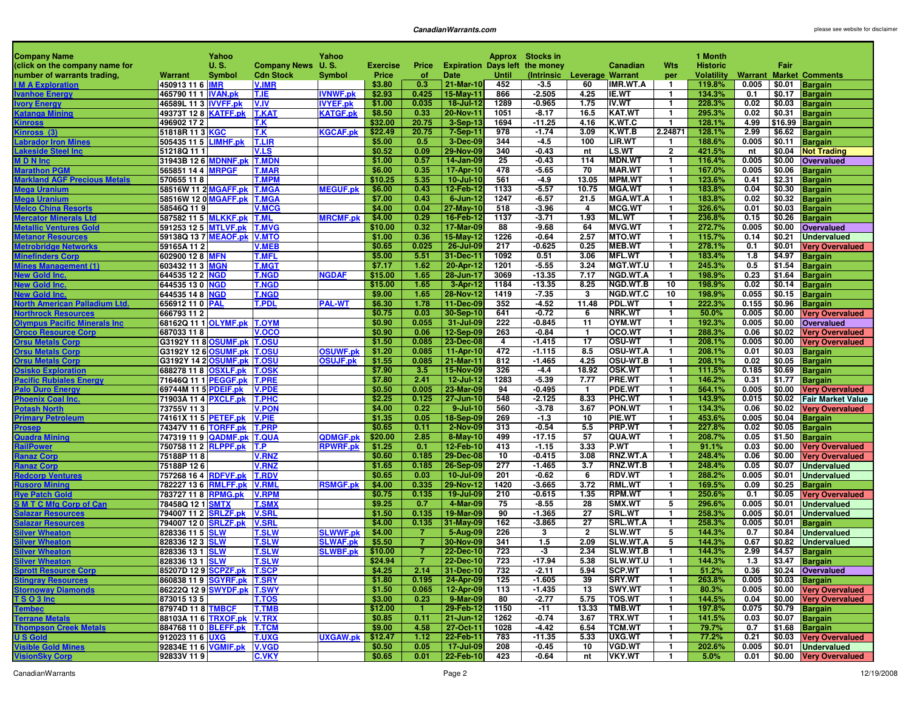| <b>Company Name</b>                                |                                              | Yahoo         |                              | Yahoo           |                   |                |                                       |             | Approx Stocks in            |                    |                                  |                              | 1 Month           |               |                  |                                          |
|----------------------------------------------------|----------------------------------------------|---------------|------------------------------|-----------------|-------------------|----------------|---------------------------------------|-------------|-----------------------------|--------------------|----------------------------------|------------------------------|-------------------|---------------|------------------|------------------------------------------|
| (click on the company name for                     |                                              | <b>U.S.</b>   | Company News U.S.            |                 | <b>Exercise</b>   | Price          | <b>Expiration Days left the money</b> |             |                             |                    | Canadian                         | <b>Wts</b>                   | <b>Historic</b>   |               | Fair             |                                          |
| number of warrants trading,                        | Warrant                                      | <b>Symbol</b> | <b>Cdn Stock</b>             | <b>Symbol</b>   | Price             | of             | <b>Date</b>                           | Until       | (Intrinsic Leverage Warrant |                    |                                  | per                          | <b>Volatility</b> |               |                  | <b>Warrant Market Comments</b>           |
| <b>IM A Exploration</b>                            | 450913 11 6 <b>IMR</b>                       |               | <b>V.IMR</b>                 |                 | \$3.80            | 0.3            | 21-Mar-10                             | 452         | $-3.5$                      | 60                 | <b>IMR.WT.A</b>                  | $\mathbf{1}$                 | 119.8%            | 0.005         |                  | \$0.01 Bargain                           |
| <b>Ivanhoe Energy</b>                              | 465790 11 1   <u>IVAN.pk</u>                 |               | T.IE.                        | <b>IVNWF.pk</b> | \$2.93            | 0.425          | 15-May-11                             | 866         | $-2.505$                    | 4.25               | IE.WT                            | $\mathbf{1}$                 | 134.3%            | 0.1           | \$0.17           | <b>Bargain</b>                           |
| <b>Ivory Energy</b>                                | 46589L 11 3 IVVFF.pk                         |               | V.IV                         | <b>IVYEF.pk</b> | \$1.00            | 0.035          | 18-Jul-12                             | 1289        | $-0.965$                    | 1.75               | IV.WT                            | $\mathbf{1}$                 | 228.3%            | 0.02          |                  | \$0.03 Bargain                           |
| <b>Katanga Mining</b>                              | 49373T 12 8 KATFF.pk                         |               | <b>T.KAT</b>                 | <b>KATGF.pk</b> | \$8.50<br>\$32.00 | 0.33           | 20-Nov-11                             | 1051        | $-8.17$                     | 16.5               | KAT.WT                           | $\mathbf{1}$                 | 295.3%            | 0.02<br>4.99  |                  | \$0.31 Bargain                           |
| <b>Kinross</b>                                     | 496902 17 2                                  |               | T.K                          | <b>KGCAF.pk</b> | \$22.49           | 20.75<br>20.75 | 3-Sep-13                              | 1694<br>978 | $-11.25$<br>$-1.74$         | 4.16<br>3.09       | K.WT.C<br>K.WT.B                 | $\mathbf{1}$<br>2.24871      | 128.1%<br>128.1%  | 2.99          |                  | \$16.99 Bargain                          |
| Kinross (3)<br><b>Labrador Iron Mines</b>          |                                              |               | T.K<br><b>T.LIR</b>          |                 | \$5.00            | 0.5            | 7-Sep-11<br>3-Dec-09                  | 344         | $-4.5$                      | 100                | LIR.WT                           | 1.                           | 188.6%            | 0.005         | \$0.11           | \$6.62 Bargain                           |
| Lakeside Steel Inc                                 | 505435 11 5 LIMHF.pk<br>51218Q 11 1          |               | V.LS                         |                 | \$0.52            | 0.09           | 29-Nov-09                             | 340         | $-0.43$                     | nt                 | LS.WT                            | $\overline{2}$               | 421.5%            | nt            |                  | <b>Bargain</b><br>\$0.04 Not Trading     |
| <b>MDNInc</b>                                      | 31943B 12 6 MDNNF.pk                         |               | <b>T.MDN</b>                 |                 | \$1.00            | 0.57           | 14-Jan-09                             | 25          | $-0.43$                     | 114                | <b>MDN.WT</b>                    | $\mathbf{1}$                 | 116.4%            | 0.005         | \$0.00           | <b>Overvalued</b>                        |
| <b>Marathon PGN</b>                                | 565851 14 4 MRPGF                            |               | <b>T.MAR</b>                 |                 | \$6.00            | 0.35           | 17-Apr-10                             | 478         | $-5.65$                     | 70                 | <b>MAR.WT</b>                    | $\mathbf{1}$                 | 167.0%            | 0.005         | \$0.06           | <b>Bargain</b>                           |
| <b>Markland AGF Precious Metals</b>                | 570655 118                                   |               | <b>T.MPM</b>                 |                 | \$10.25           | 5.35           | $10 -$ Jul-10                         | 561         | -4.9                        | 13.05              | <b>MPM.WT</b>                    | $\mathbf{1}$                 | 123.6%            | 0.41          | \$2.31           | <b>Bargain</b>                           |
| Mega Uranium                                       | 58516W 11 2 MGAFF.pk                         |               | <b>T.MGA</b>                 | <b>MEGUF.pk</b> | \$6.00            | 0.43           | 12-Feb-12                             | 1133        | $-5.57$                     | 10.75              | <b>MGA.WT</b>                    | $\mathbf{1}$                 | 183.8%            | 0.04          | \$0.30           | <b>Bargain</b>                           |
| <b>Mega Uranium</b>                                | 58516W 12 0 MGAFF.pk                         |               | <b>T.MGA</b>                 |                 | \$7.00            | 0.43           | $6$ -Jun-12                           | 1247        | $-6.57$                     | 21.5               | <b>MGA.WT.A</b>                  | $\mathbf 1$                  | 183.8%            | 0.02          | \$0.32           | <b>Bargain</b>                           |
| <b>Melco China Resorts</b>                         | 58546Q 119                                   |               | <b>V.MCG</b>                 |                 | \$4.00            | 0.04           | 27-May-10                             | 518         | $-3.96$                     | 4                  | <b>MCG.WT</b>                    | $\mathbf{1}$                 | 326.6%            | 0.01          | \$0.03           | <b>Bargain</b>                           |
| <b>Mercator Minerals Ltd</b>                       | 587582 11 5 MLKKF.pk                         |               | <b>T.ML</b>                  | <b>MRCMF.pk</b> | \$4.00            | 0.29           | 16-Feb-12                             | 1137        | $-3.71$                     | 1.93               | <b>ML.WT</b>                     | -1                           | 236.8%            | 0.15          | \$0.26           | <b>Bargain</b>                           |
| <b>Metallic Ventures Gold</b>                      | 591253 12 5 MTLVF.pk                         |               | <b>T.MVG</b>                 |                 | \$10.00           | 0.32           | 17-Mar-09                             | 88          | $-9.68$                     | 64                 | <b>MVG.WT</b>                    | $\mathbf{1}$                 | 272.7%            | 0.005         |                  | \$0.00 Overvalued                        |
| <b>Metanor Resources</b>                           | 59138Q 13 7 MEAOF.pk V.MTO                   |               |                              |                 | \$1.00            | 0.36           | 15-May-12                             | 1226        | $-0.64$                     | 2.57               | <b>MTO.WT</b>                    | $\mathbf{1}$                 | 115.7%            | 0.14          | \$0.21           | <b>Undervalued</b>                       |
| <b>Metrobridge Networks</b>                        | 59165A 11 2                                  |               | <b>V.MEB</b>                 |                 | \$0.65            | 0.025          | 26-Jul-09                             | 217         | $-0.625$                    | 0.25               | <b>MEB.WT</b>                    | $\mathbf{1}$                 | 278.1%            | 0.1           | \$0.01           | <b>Very Overvalued</b>                   |
| <b>Minefinders Corp</b>                            | 602900 12 8 MFN                              |               | T.MFL                        |                 | \$5.00            | 5.51           | 31-Dec-11                             | 1092        | 0.51                        | 3.06               | <b>MFL.WT</b>                    | $\mathbf{1}$                 | 183.4%            | 1.8           | \$4.97           | <b>Bargain</b>                           |
| <b>Mines Management (1)</b>                        | 603432 11 3 MGN                              |               | T.MG1                        |                 | \$7.17            | 1.62           | 20-Apr-12                             | 1201        | $-5.55$                     | 3.24               | <b>MGT.WT.U</b>                  | 1.                           | 245.3%            | 0.5           | \$1.54           | <b>Bargain</b>                           |
| <b>New Gold Inc.</b>                               | 644535 12 2 NGD                              |               | <b>T.NGD</b>                 | <b>NGDAF</b>    | \$15.00           | 1.65           | 28-Jun-17                             | 3069        | $-13.35$                    | 7.17               | NGD.WT.A                         | $\mathbf{1}$                 | 198.9%            | 0.23          | \$1.64           | <b>Bargain</b>                           |
| <b>New Gold Inc.</b>                               | 644535 13 0 NGD                              |               | <b>T.NGD</b>                 |                 | \$15.00           | 1.65           | 3-Apr-12                              | 1184        | $-13.35$                    | 8.25               | NGD.WT.B                         | 10                           | 198.9%            | 0.02          | \$0.14           | <b>Bargain</b>                           |
| New Gold Inc.                                      | 644535 14 8 NGD                              |               | T.NGD                        |                 | \$9.00            | 1.65           | 28-Nov-12                             | 1419        | $-7.35$                     | $\mathbf{3}$       | NGD.WT.C                         | 10                           | 198.9%            | 0.055         | \$0.15           | <b>Bargain</b>                           |
| North American Palladium Ltd.                      | 656912 11 0 PAL                              |               | T.PDL                        | <b>PAL-WT</b>   | \$6.30            | 1.78           | 11-Dec-09                             | 352         | $-4.52$                     | 11.48              | PDL.WT                           | $\mathbf{1}$                 | 222.3%            | 0.155         | \$0.96           | <b>Bargain</b>                           |
| <b>Northrock Resources</b>                         | 666793 11 2                                  |               |                              |                 | \$0.75            | 0.03           | 30-Sep-10                             | 641         | $-0.72$                     | 6                  | NRK.WT                           | $\mathbf{1}$                 | 50.0%             | 0.005         | \$0.00           | <b>Very Overvalued</b>                   |
| <b>Olympus Pacific Minerals Inc</b>                | 68162Q 11 1 OLYMF.pk                         |               | <b>T.OYM</b>                 |                 | \$0.90            | 0.055          | 31-Jul-09                             | 222         | $-0.845$                    | 11                 | OYM.WT                           | $\mathbf{1}$                 | 192.3%            | 0.005         |                  | \$0.00 Overvalued                        |
| <b>Oroco Resource Corp</b>                         | 687033 118                                   |               | <b>V.OCO</b>                 |                 | \$0.90<br>\$1.50  | 0.06<br>0.085  | 12-Sep-09<br>23-Dec-08                | 263<br>4    | $-0.84$<br>$-1.415$         | $\mathbf{1}$<br>17 | OCO.WT<br><b>OSU-WT</b>          | $\mathbf{1}$<br>$\mathbf{1}$ | 288.3%<br>208.1%  | 0.06<br>0.005 | \$0.02<br>\$0.00 | <b>Very Overvalued</b>                   |
| <b>Orsu Metals Corp</b><br><b>Orsu Metals Corp</b> | G3192Y 11 8 OSUMF.pk<br>G3192Y 12 6 OSUMF.pk |               | <b>T.OSU</b><br><b>T.OSU</b> | <b>OSUWF.pk</b> | \$1.20            | 0.085          | 11-Apr-10                             | 472         | $-1.115$                    | 8.5                | <b>OSU-WT.A</b>                  | $\mathbf{1}$                 | 208.1%            | 0.01          | \$0.03           | <b>Very Overvalued</b><br><b>Bargain</b> |
| <b>Orsu Metals Corp</b>                            | G3192Y 14 2 OSUMF.pk                         |               | <b>T.OSU</b>                 | <b>OSUJF.pk</b> | \$1.55            | 0.085          | 21-Mar-11                             | 812         | $-1.465$                    | 4.25               | <b>OSU-WT.B</b>                  | 1                            | 208.1%            | 0.02          | \$0.05           | <b>Bargain</b>                           |
| <b>Osisko Exploration</b>                          | 688278 11 8 OSXLF.pk                         |               | T.OSK                        |                 | \$7.90            | 3.5            | 15-Nov-09                             | 326         | $-4.4$                      | 18.92              | <b>OSK.WT</b>                    | -1                           | 111.5%            | 0.185         | \$0.69           | <b>Bargain</b>                           |
| <b>Pacific Rubiales Energy</b>                     | 71646Q 11 1 PEGGF.pk                         |               | T.PRE                        |                 | \$7.80            | 2.41           | 12-Jul-12                             | 1283        | $-5.39$                     | 7.77               | <b>PRE.WT</b>                    | 1                            | 146.2%            | 0.31          | \$1.77           | <b>Bargain</b>                           |
| <b>Palo Duro Energy</b>                            | 69744M 11 5 PDEIF.pk                         |               | <b>V.PDE</b>                 |                 | \$0.50            | 0.005          | 23-Mar-09                             | 94          | $-0.495$                    | -1                 | PDE.WT                           | $\mathbf{1}$                 | 564.1%            | 0.005         | \$0.00           | <b>Very Overvalued</b>                   |
| <b>Phoenix Coal Inc.</b>                           | 71903A 11 4 PXCLF.pk                         |               | T.PHC                        |                 | \$2.25            | 0.125          | 27-Jun-10                             | 548         | $-2.125$                    | 8.33               | PHC.WT                           | $\mathbf{1}$                 | 143.9%            | 0.015         | \$0.02           | <b>Fair Market Value</b>                 |
| <b>Potash North</b>                                | 73755V 113                                   |               | <b>V.PON</b>                 |                 | \$4.00            | 0.22           | $9$ -Jul-10                           | 560         | $-3.78$                     | 3.67               | PON.WT                           | -1                           | 134.3%            | 0.06          | \$0.02           | <b>Very Overvalued</b>                   |
| <b>Primary Petroleum</b>                           | 74161X 11 5 PETEF.pk                         |               | <b>V.PIE</b>                 |                 | \$1.35            | 0.05           | 18-Sep-09                             | 269         | $-1.3$                      | 10                 | PIE.WT                           | $\mathbf{1}$                 | 453.6%            | 0.005         | \$0.04           | <b>Bargain</b>                           |
| <b>Prosep</b>                                      | 74347V 11 6 TORFF.pk                         |               | <b>T.PRP</b>                 |                 | \$0.65            | 0.11           | 2-Nov-09                              | 313         | $-0.54$                     | 5.5                | PRP.WT                           | $\mathbf{1}$                 | 227.8%            | 0.02          | \$0.05           | <b>Bargain</b>                           |
| <b>Quadra Mining</b>                               | 747319 11 9 QADMF.pk                         |               | <b>T.QUA</b>                 | QDMGF.pk        | \$20.00           | 2.85           | 8-May-10                              | 499         | $-17.15$                    | 57                 | QUA.WT                           | $\mathbf{1}$                 | 208.7%            | 0.05          | \$1.50           | <b>Bargain</b>                           |
| <b>RailPower</b>                                   | 750758 11 2 RLPPF.pk                         |               | T.P.                         | <b>RPWRF.pk</b> | \$1.25            | 0.1            | 12-Feb-10                             | 413         | $-1.15$                     | 3.33               | P.WT                             | -1                           | 91.1%             | 0.03          | \$0.00           | <b>Very Overvalued</b>                   |
| <b>Ranaz Corp</b>                                  | 75188P 118                                   |               | <b>V.RNZ</b>                 |                 | \$0.60            | 0.185          | 29-Dec-08                             | 10          | $-0.415$                    | 3.08               | RNZ.WT.A                         | -1                           | 248.4%            | 0.06          | \$0.00           | <b>Very Overvalued</b>                   |
| <b>Ranaz Corp</b>                                  | 75188P 126                                   |               | <b>V.RNZ</b>                 |                 | \$1.65            | 0.185          | 26-Sep-09                             | 277         | $-1.465$                    | 3.7                | RNZ.WT.B                         | $\mathbf{1}$                 | 248.4%            | 0.05          | \$0.07           | <b>Undervalued</b>                       |
| <b>Redcorp Ventures</b>                            | 757268 16 4 RDFVF.pk                         |               | <b>T.RDV</b>                 |                 | \$0.65            | 0.03           | 10-Jul-09                             | 201         | $-0.62$                     | 6                  | <b>RDV.WT</b>                    | 1                            | 288.2%            | 0.005         | \$0.01           | <b>Undervalued</b>                       |
| <u>Rusoro Mining</u>                               | 782227 13 6 RMLFF.pk                         |               | <b>V.RML</b>                 | <b>RSMGF.pk</b> | \$4.00            | 0.335          | 29-Nov-12                             | 1420        | $-3.665$                    | 3.72               | <b>RML.WT</b>                    | $\mathbf{1}$                 | 169.5%            | 0.09          | \$0.25           | <b>Bargain</b>                           |
| <b>Rye Patch Gold</b>                              | 783727 11 8 RPMG.pk                          |               | <b>V.RPM</b>                 |                 | \$0.75            | 0.135          | 19-Jul-09                             | 210         | $-0.615$                    | 1.35               | RPM.WT                           | $\mathbf{1}$                 | 250.6%            | 0.1           | \$0.05           | <b>Very Overvalued</b>                   |
| <b>SMTCMfg Corp of Can</b>                         | 78458Q 12 1 SMTX                             |               | <b>T.SMX</b>                 |                 | \$9.25            | 0.7            | 4-Mar-09                              | 75          | $-8.55$                     | 28                 | <b>SMX.WT</b>                    | 5                            | 296.6%            | 0.005         | \$0.01           | <b>Undervalued</b>                       |
| Salazar Resources                                  | 794007 11 2 SRLZF.pk                         |               | <b>V.SRL</b>                 |                 | \$1.50<br>\$4.00  | 0.135          | 19-Mar-09                             | 90<br>162   | $-1.365$                    | 27<br>27           | <b>SRL.WT</b>                    | $\mathbf{1}$                 | 258.3%            | 0.005         | \$0.01           | <b>Undervalued</b>                       |
| <b>Salazar Resources</b><br><b>Silver Wheaton</b>  | 794007 12 0 SRLZF.pk<br>828336 11 5 SLW      |               | <b>V.SRL</b><br>T.SLW        | <b>SLWWF.pk</b> | \$4.00            | 0.135<br>-7    | 31-May-09<br>5-Aug-09                 | 226         | $-3.865$<br>$\mathbf{3}$    | $\overline{2}$     | <b>SRL.WT.A</b><br><b>SLW.WT</b> | $\mathbf{1}$<br>5            | 258.3%<br>144.3%  | 0.005<br>0.7  | \$0.01<br>\$0.84 | <b>Bargain</b><br><b>Undervalued</b>     |
| <b>Silver Wheaton</b>                              | 828336 12 3 SLW                              |               | <b>T.SLW</b>                 | <b>SLWAF.pk</b> | \$5.50            | $\overline{7}$ | 30-Nov-09                             | 341         | 1.5                         | 2.09               | <b>SLW.WT.A</b>                  | 5                            | 144.3%            | 0.67          |                  | \$0.82 Undervalued                       |
| <b>Silver Wheaton</b>                              | 828336 13 1 SLW                              |               | <b>T.SLW</b>                 | <b>SLWBF.pk</b> | \$10.00           | $\overline{7}$ | 22-Dec-10                             | 723         | $-3$                        | 2.34               | <b>SLW.WT.B</b>                  | $\mathbf{1}$                 | 144.3%            | 2.99          |                  | \$4.57 Bargain                           |
| <b>Silver Wheaton</b>                              | 828336 13 1 SLW                              |               | <b>T.SLW</b>                 |                 | \$24.94           | $\overline{7}$ | 22-Dec-10                             | 723         | $-17.94$                    | 5.38               | SLW.WT.U                         | $\mathbf{1}$                 | 144.3%            |               |                  | 1.3 \$3.47 <b>Bargain</b>                |
| <b>Sprott Resource Corp</b>                        | 85207D 12 9 SCPZF.pk T.SCP                   |               |                              |                 | \$4.25            | 2.14           | 31-Dec-10                             | 732         | $-2.11$                     | 5.94               | <b>SCP.WT</b>                    | $\mathbf{1}$                 | 51.2%             |               |                  | $0.36$   \$0.24 Overvalued               |
| <b>Stingray Resources</b>                          | 860838 11 9 SGYRF.pk T.SRY                   |               |                              |                 | \$1.80            | 0.195          | 24-Apr-09                             | 125         | $-1.605$                    | 39                 | SRY.WT                           | $\mathbf{1}$                 | 263.8%            | $0.005$       |                  | \$0.03 Bargain                           |
| <b>Stornoway Diamonds</b>                          | 86222Q 12 9 SWYDF.pk T.SWY                   |               |                              |                 | \$1.50            | 0.065          | 12-Apr-09                             | 113         | $-1.435$                    | 13                 | <b>SWY.WT</b>                    | $\mathbf{1}$                 | 80.3%             | 0.005         |                  | \$0.00 Very Overvalued                   |
| TSO3 Inc                                           | 873015 13 5                                  |               | <b>T.TOS</b>                 |                 | \$3.00            | 0.23           | 9-Mar-09                              | 80          | $-2.77$                     | 5.75               | <b>TOS.WT</b>                    | $\mathbf{1}$                 | 144.5%            | 0.04          |                  | \$0.00 Very Overvalued                   |
| <u>Tembec</u>                                      | 87974D 11 8 TMBCF                            |               | <b>T.TMB</b>                 |                 | \$12.00           | - 1 -          | 29-Feb-12                             | 1150        | $-11$                       |                    | 13.33 TMB.WT                     | $\mathbf{1}$                 | 197.8%            | $0.075$       |                  | \$0.79 Bargain                           |
| <b>Terrane Metals</b>                              | 88103A 11 6 TRXOF.pk V.TRX                   |               |                              |                 | \$0.85            | 0.11           | 21-Jun-12                             | 1262        | $-0.74$                     | 3.67               | <b>TRX.WT</b>                    | $\mathbf{1}$                 | 141.5%            | 0.03          |                  | \$0.07 Bargain                           |
| <b>Thompson Creek Metals</b>                       | 884768 11 0 BLEFF.pk T.TCM                   |               |                              |                 | \$9.00            | 4.58           | 27-Oct-11                             | 1028        | -4.42                       | 6.54               | <b>TCM.WT</b>                    | $\mathbf{1}$                 | 79.7%             | 0.7           |                  | \$1.68 Bargain                           |
| U S Gold                                           | 912023 11 6 UXG                              |               | <b>T.UXG</b>                 | <b>UXGAW.pk</b> | \$12.47           | 1.12           | 22-Feb-11                             | 783         | $-11.35$                    | 5.33               | <b>UXG.WT</b>                    | $\mathbf{1}$                 | 77.2%             | 0.21          |                  | \$0.03 Very Overvalued                   |
| <b>Visible Gold Mines</b>                          | 92834E 11 6 VGMIF.pk V.VGD                   |               |                              |                 | \$0.50            | 0.05           | 17-Jul-09                             | 208         | $-0.45$                     | 10                 | <b>VGD.WT</b>                    | $\mathbf{1}$                 | 202.6%            | $0.005$       |                  | \$0.01 Undervalued                       |
| <b>VisionSky Corp</b>                              | 92833V 119                                   |               | <b>C.VKY</b>                 |                 | \$0.65            |                | $0.01$   22-Feb-10                    | 423         | $-0.64$                     | nt                 | <b>VKY.WT</b>                    | $\mathbf{1}$                 | 5.0%              | 0.01          |                  | \$0.00 Very Overvalued                   |